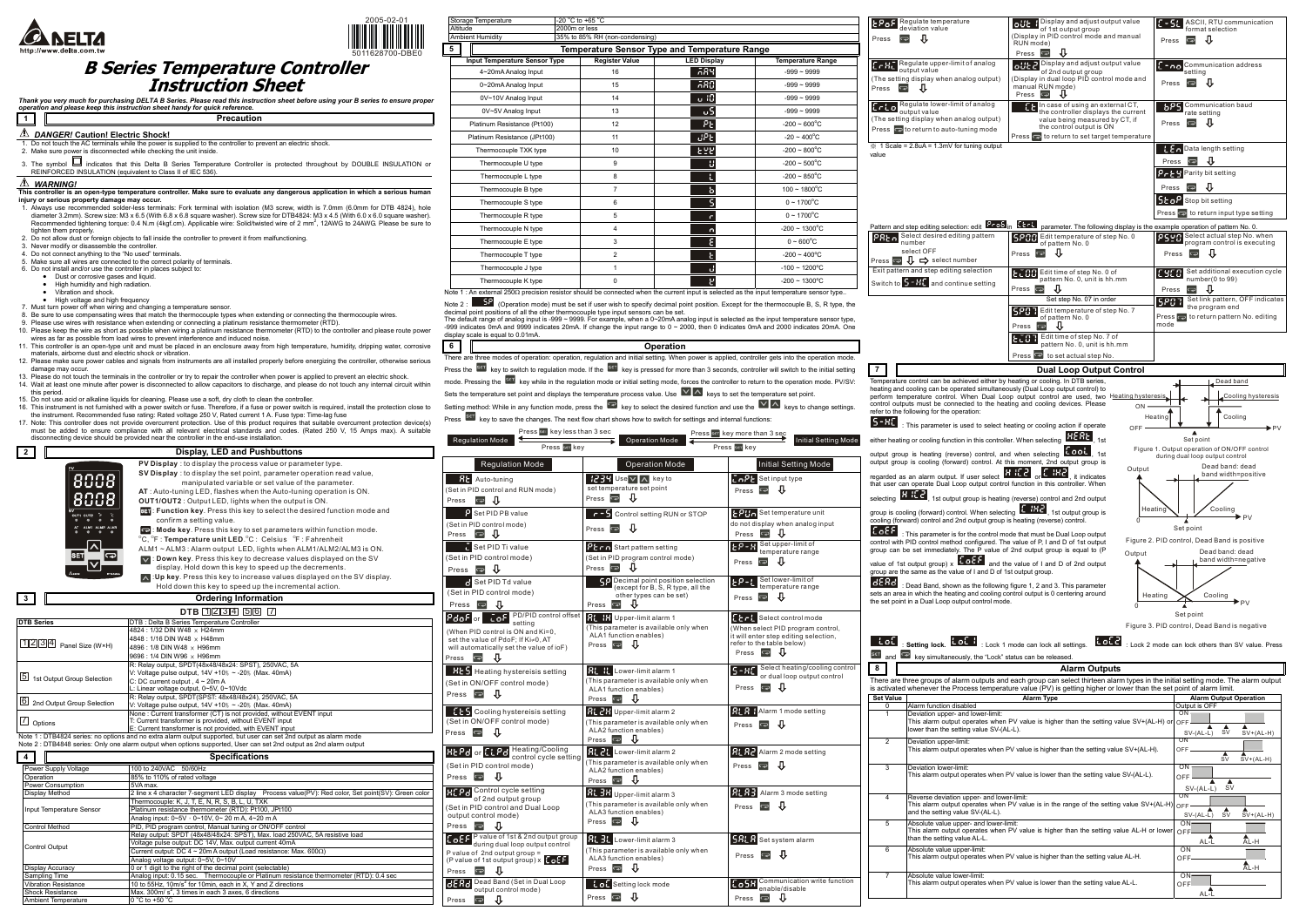



## **B Series Temperature Controller Instruction Sheet**

Thank you very much for purchasing DELTA B Series. Please read this instruction sheet before using your B series to ensure proper<br>operation and please keep this instruction sheet handy for quick reference.

## **1 Precaution**

*DANGER!* **Caution! Electric Shock!** 

- 1. Do not touch the AC terminals while the power is supplied to the controller to prevent an electric shock. 2. Make sure power is disconnected while checking the unit inside.
- 
- 3. The symbol  $\Box$  indicates that this Delta B Series Temperature Controller is protected throughout by DOUBLE INSULATION or REINFORCED INSULATION (equivalent to Class II of IEC 536).

## *WARNING!*

- **This controller is an open-type temperature controller. Make sure to evaluate any dangerous application in which a serious human injury or serious property damage may occur.**
- 1. Always use recommended solder-less terminals: Fork terminal with isolation (M3 screw, width is 7.0mm (6.0mm for DTB 4824), hole<br>diameter 3.2mm). Screw size: M3 x 6.5 (With 6.8 x 6.8 square washer). Screw size for DTB482 tighten them properly.
- 2. Do not allow dust or foreign objects to fall inside the controller to prevent it from malfunctioning.<br>3. Never modify or disassemble the controller.<br>4. Do not connect anything to the "No used" terminals.
- 
- Make sure all wires are connected to the correct polarity of terminals.
- 6. Do not install and/or use the controller in places subject to:
- Dust or corrosive gases and liquid.
- 
- High humidity and high radiation. Vibration and shock.
- 
- 
- High voltage and high frequency<br>7. Must turn power off when wiring and changing a temperature sensor.<br>8. Be sure to use compensating wires that match the thermocouple types when extending or connecting the thermocoupl
- 9. Please use wires with resistance when extending or connecting a platinum resistance thermometer (RTD).
- 10. Please keep the wire as short as possible when wiring a platinum resistance thermometer (RTD) to the controller and please route power wires as far as possible from load wires to prevent interference and induced noise.
- 11. This controller is an open-type unit and must be placed in an enclosure away from high temperature, humidity, dripping water, corrosive
- materials, airborne dust and electric shock or vibration. 12. Please make sure power cables and signals from instruments are all installed properly before energizing the controller, otherwise serious damage may occur.
- 13. Please do not touch the terminals in the controller or try to repair the controller when power is applied to prevent an electric shock. 14. Wait at least one minute after power is disconnected to allow capacitors to discharge, and please do not touch any internal circuit within
- this period.

Shock Resistance Max. 300m/ s<sup>2</sup>, 3 times in each 3 axes, 6 directions

mbient Temperature  $\begin{bmatrix} 0 \\ 0 \\ 0 \end{bmatrix}$  to +50  $^{\circ}$ C

- 15. Do not use acid or alkaline liquids for cleaning. Please use a soft, dry cloth to clean the controller.<br>16. This instrument is not furnished with a power switch or fuse. Therefore, if a fuse or power switch is required
- the instrument. Recommended fuse rating: Rated voltage 250 V, Rated current 1 A. Fuse type: Time-lag fuse<br>17. Note: This controller does not provide overcurrent protection. Use of this product requires that suitable overcu
- must be added to ensure compliance with all relevant electrical standards and codes. (Rated 250 V, 15 Amps max). A suitable disconnecting device should be provided near the controller in the end-use installation.

|                                   | disconnecting device should be provided near the controller in the end-use installation.                           |
|-----------------------------------|--------------------------------------------------------------------------------------------------------------------|
| $\mathbf{2}$                      | <b>Display, LED and Pushbuttons</b>                                                                                |
|                                   | PV Display: to display the process value or parameter type.                                                        |
|                                   | SV Display: to display the set point, parameter operation read value,                                              |
|                                   | manipulated variable or set value of the parameter.                                                                |
|                                   | AT: Auto-tuning LED, flashes when the Auto-tuning operation is ON.                                                 |
|                                   |                                                                                                                    |
|                                   | <b>OUT1/OUT2:</b> Output LED, lights when the output is ON.                                                        |
| OUTI OUT2                         | <b>SET:</b> Function key. Press this key to select the desired function mode and                                   |
| ALM1<br>ALMP ALMB                 | confirm a setting value.                                                                                           |
|                                   | Mode key. Press this key to set parameters within function mode.                                                   |
|                                   | <sup>o</sup> C, <sup>o</sup> F: Temperature unit LED. <sup>o</sup> C: Celsius <sup>o</sup> F: Fahrenheit           |
|                                   | ALM1 ~ ALM3 : Alarm output LED, lights when ALM1/ALM2/ALM3 is ON.                                                  |
| SET<br>ా                          | $\vee$ : Down key. Press this key to decrease values displayed on the SV                                           |
|                                   | display. Hold down this key to speed up the decrements.                                                            |
|                                   | $\wedge$ : Up key. Press this key to increase values displayed on the SV display.                                  |
|                                   | Hold down this key to speed up the incremental action.                                                             |
| 3                                 | <b>Ordering Information</b>                                                                                        |
|                                   | $DTB$ 1234 56 7                                                                                                    |
| <b>DTB Series</b>                 | DTB : Delta B Series Temperature Controller                                                                        |
|                                   | 4824 : 1/32 DIN W48 x H24mm                                                                                        |
|                                   | 4848 : 1/16 DIN W48 x H48mm                                                                                        |
| $1234$ Panel Size (W×H)           | 4896: 1/8 DIN W48 x H96mm                                                                                          |
|                                   | 9696 : 1/4 DIN W96 x H96mm                                                                                         |
|                                   | R: Relay output, SPDT(48x48/48x24: SPST), 250VAC, 5A                                                               |
| 5<br>1st Output Group Selection   | V: Voltage pulse output, $14V + 10\% \sim -20\%$ (Max. 40mA)<br>C: DC current output, $4 \sim 20$ m A              |
|                                   | L: Linear voltage output, 0~5V, 0~10Vdc                                                                            |
|                                   | R: Relay output, SPDT(SPST: 48x48/48x24), 250VAC, 5A                                                               |
| 161<br>2nd Output Group Selection | V: Voltage pulse output, $14V + 10\% \sim -20\%$ (Max. 40mA)                                                       |
|                                   | None: Current transformer (CT) is not provided, without EVENT input                                                |
| 7<br>Options                      | T: Current transformer is provided, without EVENT input                                                            |
|                                   | E: Current transformer is not provided, with EVENT input                                                           |
|                                   | Note 1 : DTB4824 series: no options and no extra alarm output supported, but user can set 2nd output as alarm mode |
|                                   | Note 2 : DTB4848 series: Only one alarm output when options supported, User can set 2nd output as 2nd alarm output |
| 4                                 | <b>Specifications</b>                                                                                              |
| Power Supply Voltage              | 100 to 240VAC<br>50/60Hz                                                                                           |
| Operation                         | 85% to 110% of rated voltage                                                                                       |
| Power Consumption                 | 5VA max.                                                                                                           |
| Display Method                    | 2 line x 4 character 7-segment LED display<br>Process value(PV): Red color, Set point(SV): Green color             |
| Input Temperature Sensor          | Thermocouple: K, J, T, E, N, R, S, B, L, U, TXK                                                                    |
|                                   | Platinum resistance thermometer (RTD): Pt100, JPt100<br>Analog input: 0~5V · 0~10V, 0~ 20 m A, 4~20 m A            |
| Control Method                    | PID, PID program control, Manual tuning or ON/OFF control                                                          |
|                                   | Relay output: SPDT (48x48/48x24: SPST), Max. load 250VAC, 5A resistive load                                        |
|                                   | Voltage pulse output: DC 14V, Max. output current 40mA                                                             |
| Control Output                    | Current output: DC 4 $\sim$ 20m A output (Load resistance: Max. 600 $\Omega$ )                                     |
|                                   | Analog voltage output: 0~5V, 0~10V                                                                                 |
| Display Accuracy                  | 0 or 1 digit to the right of the decimal point (selectable)                                                        |
| Sampling Time                     | Analog input: 0.15 sec. Thermocouple or Platinum resistance thermometer (RTD): 0.4 sec                             |
| <b>Vibration Resistance</b>       | 10 to 55Hz, 10m/s <sup>2</sup> for 10min, each in X, Y and Z directions                                            |

**LPoF** Regulate temperature deviation value

eating or cooling function in this

regarded as an alarm output. If user select or er can operate Dual Loop output  $\frac{1}{\sqrt{2}}$  , 1st output group is

: This parameter is for the control must be  $\frac{1}{2}$ with PID control method configured. can be set immediately. The P

value of 1st output group)  $\times$   $\overline{6}$   $\overline{6}$   $\overline{6}$   $\overline{6}$ are the same as the value of  $I$  and  $D$ 

**id**: Dead Band, shown as the following figure 1, 2 and 3. sets and the heating and control output is area in which the heating and control output is  $\frac{1}{2}$ point in a Dual Loop output contr

| Storage Temperature                                                                                                                                                          | -20 °C to +65 °C                                     |                    |                            |  |  |  |
|------------------------------------------------------------------------------------------------------------------------------------------------------------------------------|------------------------------------------------------|--------------------|----------------------------|--|--|--|
| Altitude                                                                                                                                                                     | 2000m or less                                        |                    |                            |  |  |  |
| <b>Ambient Humidity</b><br>35% to 85% RH (non-condensing)                                                                                                                    |                                                      |                    |                            |  |  |  |
| 5                                                                                                                                                                            | <b>Temperature Sensor Type and Temperature Range</b> |                    |                            |  |  |  |
| <b>Input Temperature Sensor Type</b>                                                                                                                                         | <b>Register Value</b>                                | <b>LED Display</b> |                            |  |  |  |
| 4~20mA Analog Input                                                                                                                                                          | 16                                                   | 589                | $-999 - 9999$              |  |  |  |
| 0~20mA Analog Input                                                                                                                                                          | 15                                                   | 580.               | $-999 - 9999$              |  |  |  |
| 0V~10V Analog Input                                                                                                                                                          | 14                                                   | ு 10               | $-999 - 9999$              |  |  |  |
| 0V~5V Analog Input                                                                                                                                                           | 13                                                   | υS                 | $-999 - 9999$              |  |  |  |
| Platinum Resistance (Pt100)                                                                                                                                                  | 12                                                   | Ρ٤                 | $-200 \sim 600^{\circ}$ C  |  |  |  |
| Platinum Resistance (JPt100)                                                                                                                                                 | 11                                                   | uPE                | $-20 \sim 400^{\circ}$ C   |  |  |  |
| Thermocouple TXK type                                                                                                                                                        | 10                                                   | 문문법                | $-200 \sim 800^{\circ}$ C  |  |  |  |
| Thermocouple U type                                                                                                                                                          | 9                                                    | u                  | $-200 \sim 500^{\circ}$ C  |  |  |  |
| Thermocouple L type                                                                                                                                                          | 8                                                    |                    | $-200 \sim 850^{\circ}$ C  |  |  |  |
| Thermocouple B type                                                                                                                                                          | $\overline{7}$                                       | ь                  | $100 \sim 1800^{\circ}$ C  |  |  |  |
| Thermocouple S type                                                                                                                                                          | 6                                                    |                    | $0 \sim 1700^{\circ}$ C    |  |  |  |
| Thermocouple R type                                                                                                                                                          | 5                                                    |                    | $0 \sim 1700^{\circ}$ C    |  |  |  |
| Thermocouple N type                                                                                                                                                          | 4                                                    | n                  | $-200 \sim 1300^{\circ}$ C |  |  |  |
| Thermocouple E type                                                                                                                                                          | 3                                                    |                    | $0 - 600^{\circ}C$         |  |  |  |
| Thermocouple T type                                                                                                                                                          | $\overline{2}$                                       |                    | $-200 \sim 400^{\circ}$ C  |  |  |  |
| Thermocouple J type                                                                                                                                                          | 1                                                    | d                  | $-100 \sim 1200^{\circ}$ C |  |  |  |
| Thermocouple K type                                                                                                                                                          | 0                                                    |                    | $-200 \sim 1300^{\circ}$ C |  |  |  |
| $\Delta t$ , $\Delta t$ and $\Delta t$ and $\Delta t$ are comparative specifier should be connected when the surrent input is selected as the input terms rature sensor tupe |                                                      |                    |                            |  |  |  |

display scale is equal to 0.01mA.

| <u>t</u> fat<br>$\Rightarrow$<br>Press | Regulate temperature<br>deviation value<br>ſŀ                                                                                                                                                                                                                                                     | Display and adjust output value<br>oüt<br>J,<br>of 1st output group<br>(Display in PID control mode and manual<br>RUN mode)<br>IJ<br>$\overline{\mathbf{C}}$<br>Press                                                                                          | ASCII, RTU communication<br><u>E - SL</u><br>format selection<br>IJ<br>D<br>Press              |
|----------------------------------------|---------------------------------------------------------------------------------------------------------------------------------------------------------------------------------------------------------------------------------------------------------------------------------------------------|----------------------------------------------------------------------------------------------------------------------------------------------------------------------------------------------------------------------------------------------------------------|------------------------------------------------------------------------------------------------|
| Press                                  | ErRegulate upper-limit of analog<br>output value<br>(The setting display when analog output)<br>⊕                                                                                                                                                                                                 | otto Display and adjust output value<br>of 2nd output group<br>(Display in dual loop PID control mode and<br>manual RUN mode)<br>Press                                                                                                                         | <b>E-ne</b> Communication address<br>setting<br>$\Rightarrow$<br>Press                         |
| $f_{r}$ is a                           | Regulate lower-limit of analog<br>output value<br>(The setting display when analog output)<br>Press $\bullet$ to return to auto-tuning mode                                                                                                                                                       | Et In case of using an external CT,<br>the controller displays the current<br>value being measured by CT, if<br>the control output is ON<br>Press o to return to set target temperature                                                                        | Communication baud<br>995<br>rate setting<br>JL<br>Press<br>Û                                  |
| value                                  | $\frac{36}{2}$ 1 Scale = 2.8uA = 1.3mV for tuning output                                                                                                                                                                                                                                          |                                                                                                                                                                                                                                                                | <b>Data length setting</b>                                                                     |
|                                        |                                                                                                                                                                                                                                                                                                   |                                                                                                                                                                                                                                                                | ₩<br>Press<br>Parity bit setting<br>Pr69                                                       |
|                                        |                                                                                                                                                                                                                                                                                                   |                                                                                                                                                                                                                                                                | ₩<br>Press                                                                                     |
|                                        |                                                                                                                                                                                                                                                                                                   |                                                                                                                                                                                                                                                                | 5co <sup>P</sup> Stop bit setting<br>Press $\Rightarrow$ to return input type setting          |
|                                        |                                                                                                                                                                                                                                                                                                   | Pattern and step editing selection: edit <b>Pack</b> in <b>Ethel</b> parameter. The following display is the example operation of pattern No. 0.                                                                                                               |                                                                                                |
| PREn                                   | Select desired editing pattern<br>number<br>select OFF                                                                                                                                                                                                                                            | Edit temperature of step No. 0<br> SPOO<br>of pattern No. 0<br>⇩                                                                                                                                                                                               | PSYR Select actual step No. when<br>program control is executing                               |
|                                        | Press $\bigoplus \bigcup$ $\bigoplus$ select number<br>Exit pattern and step editing selection                                                                                                                                                                                                    | $Press \n\blacktriangleright$                                                                                                                                                                                                                                  | ſì<br>Press<br>$\Rightarrow$                                                                   |
|                                        | Switch to $5 - Hf$ and continue setting                                                                                                                                                                                                                                                           | Edit time of step No. 0 of<br>pattern No. 0, unit is hh.mm<br>⇩<br>Press $\blacksquare$                                                                                                                                                                        | Set additional execution cycle<br>1900.<br>number(0 to 99)<br>⇩<br>D<br>Press                  |
|                                        |                                                                                                                                                                                                                                                                                                   | Set step No. 07 in order                                                                                                                                                                                                                                       | Set link pattern, OFF indicates<br>580<br>the program end                                      |
|                                        |                                                                                                                                                                                                                                                                                                   | Edit temperature of step No. 7<br>5207<br>of pattern No. 0<br>IJ<br>Ô<br>Press                                                                                                                                                                                 | Press $\Rightarrow$ to return pattern No. editing<br>mode                                      |
|                                        |                                                                                                                                                                                                                                                                                                   | Edit time of step No. 7 of<br>500 T<br>pattern No. 0, unit is hh.mm                                                                                                                                                                                            |                                                                                                |
|                                        |                                                                                                                                                                                                                                                                                                   | Press et actual step No.                                                                                                                                                                                                                                       |                                                                                                |
| 7                                      |                                                                                                                                                                                                                                                                                                   | <b>Dual Loop Output Control</b>                                                                                                                                                                                                                                | Dead band                                                                                      |
|                                        | Temperature control can be achieved either by heating or cooling. In DTB series,<br>heating and cooling can be operated simultaneously (Dual Loop output control) to<br>control outputs must be connected to the heating and cooling devices. Please<br>refer to the following for the operation: | perform temperature control. When Dual Loop output control are used, two Heating hysteresis<br>ΟN                                                                                                                                                              | Cooling hysteresis<br>Cooling<br>Heating                                                       |
| $5 - BC$                               | : This parameter is used to select heating or cooling action if operate                                                                                                                                                                                                                           | OFF                                                                                                                                                                                                                                                            | ▲                                                                                              |
|                                        | either heating or cooling function in this controller. When selecting<br>output group is heating (reverse) control, and when selecting <b>LOOT</b> , 1st                                                                                                                                          | . 1st                                                                                                                                                                                                                                                          | Set point<br>Figure 1. Output operation of ON/OFF control<br>during dual loop output control   |
|                                        | output group is cooling (forward) control. At this moment, 2nd output group is                                                                                                                                                                                                                    | Output                                                                                                                                                                                                                                                         | Dead band: dead<br>band width=positive                                                         |
|                                        | regarded as an alarm output. If user select <b>H HC</b> or <b>E HC</b> , it indicates<br>that user can operate Dual Loop output control function in this controller. When                                                                                                                         |                                                                                                                                                                                                                                                                |                                                                                                |
|                                        | selecting <b>KHLC</b> , 1st output group is heating (reverse) control and 2nd output<br>group is cooling (forward) control. When selecting I                                                                                                                                                      | $\overline{H}$ , 1st output group is                                                                                                                                                                                                                           | Cooling<br>Heating                                                                             |
| E o E F                                | cooling (forward) control and 2nd output group is heating (reverse) control.                                                                                                                                                                                                                      | Ō                                                                                                                                                                                                                                                              | PV<br>Set point                                                                                |
|                                        | : This parameter is for the control mode that must be Dual Loop output<br>control with PID control method configured. The value of P, I and D of 1st output<br>group can be set immediately. The P value of 2nd output group is equal to (P                                                       | Output                                                                                                                                                                                                                                                         | Figure 2. PID control, Dead Band is positive<br>Dead band: dead<br>band width=negative         |
|                                        | value of 1st output group) $\times$ $\overline{1 \cdot 0.51}$ and the value of I and D of 2nd output<br>group are the same as the value of I and D of 1st output group.                                                                                                                           |                                                                                                                                                                                                                                                                |                                                                                                |
| dERG                                   | : Dead Band, shown as the following figure 1, 2 and 3. This parameter<br>sets an area in which the heating and cooling control output is 0 centering around<br>the set point in a Dual Loop output control mode.                                                                                  |                                                                                                                                                                                                                                                                | Heating<br>Cooling                                                                             |
|                                        |                                                                                                                                                                                                                                                                                                   | 0                                                                                                                                                                                                                                                              | Set point                                                                                      |
|                                        |                                                                                                                                                                                                                                                                                                   |                                                                                                                                                                                                                                                                | Figure 3. PID control, Dead Band is negative                                                   |
| itot.<br>SET<br>and $\blacksquare$     | : Setting lock. Lot 1: Lock 1 mode can lock all settings.<br>key simultaneously, the "Lock" status can be released.                                                                                                                                                                               | ioid.                                                                                                                                                                                                                                                          | : Lock 2 mode can lock others than SV value. Press                                             |
| 8                                      |                                                                                                                                                                                                                                                                                                   | <b>Alarm Outputs</b>                                                                                                                                                                                                                                           |                                                                                                |
|                                        |                                                                                                                                                                                                                                                                                                   | There are three groups of alarm outputs and each group can select thirteen alarm types in the initial setting mode. The alarm output<br>is activated whenever the Process temperature value (PV) is getting higher or lower than the set point of alarm limit. |                                                                                                |
| <b>Set Value</b><br>0                  | Alarm function disabled                                                                                                                                                                                                                                                                           | <b>Alarm Type</b>                                                                                                                                                                                                                                              | <b>Alarm Output Operation</b><br>Output is OFF<br>ON                                           |
| 1                                      | Deviation upper- and lower-limit:<br>lower than the setting value SV-(AL-L).                                                                                                                                                                                                                      | This alarm output operates when PV value is higher than the setting value SV+(AL-H) or                                                                                                                                                                         | OFF<br>$\frac{4}{\text{SV}}$                                                                   |
| $\overline{2}$                         | Deviation upper-limit:                                                                                                                                                                                                                                                                            | This alarm output operates when PV value is higher than the setting value SV+(AL-H).                                                                                                                                                                           | $SV+(AL-H)$<br>$SV-(AL-L)$<br>ON<br>OFF<br>$\frac{4}{s}$<br>$\overset{\triangle}{SV}$ + (AL-H) |
| 3                                      | Deviation lower-limit:                                                                                                                                                                                                                                                                            | This alarm output operates when PV value is lower than the setting value SV-(AL-L).                                                                                                                                                                            | ΟN<br>OFF<br>▲<br>SV<br>$SV-(AL-L)$                                                            |
| 4                                      | Reverse deviation upper- and lower-limit:<br>and the setting value SV-(AL-L).                                                                                                                                                                                                                     | This alarm output operates when PV value is in the range of the setting value SV+(AL-H)                                                                                                                                                                        | ON<br>OFF<br>$\frac{4}{sV}$<br>$SV-(AL-L)$<br>$SV+(AL-H)$                                      |
| 5                                      | Absolute value upper- and lower-limit:<br>This alarm output operates when PV value is higher than the setting value AL-H or lower<br>than the setting value AL-L.                                                                                                                                 | ON.<br>OFF<br>AL-H<br>$AL-1$                                                                                                                                                                                                                                   |                                                                                                |
| 6                                      | Absolute value upper-limit:                                                                                                                                                                                                                                                                       | This alarm output operates when PV value is higher than the setting value AL-H.                                                                                                                                                                                | ON<br>OFF-<br>Å<br>AL-H                                                                        |
| 7                                      | Absolute value lower-limit:                                                                                                                                                                                                                                                                       | This alarm output operates when PV value is lower than the setting value AL-L.                                                                                                                                                                                 | ON <sub>1</sub><br>OFF<br>AL-L                                                                 |
|                                        |                                                                                                                                                                                                                                                                                                   |                                                                                                                                                                                                                                                                |                                                                                                |

| 6 I | <b>Operation</b>                                                                                                                                                       |  |
|-----|------------------------------------------------------------------------------------------------------------------------------------------------------------------------|--|
|     | There are three modes of operation: operation, requlation and initial setting. When power is applied, controller gets into the operation mode.                         |  |
|     | Press the <sup>Ber</sup> key to switch to regulation mode. If the <sup>Ber</sup> key is pressed for more than 3 seconds, controller will switch to the initial setting |  |
|     | mode. Pressing the <sup>531</sup> key while in the regulation mode or initial setting mode, forces the controller to return to the operation mode. PV/SV:              |  |
|     | Sets the temperature set point and displays the temperature process value. Use $\sqrt{ \triangle }$ keys to set the temperature set point.                             |  |
|     | Setting method: While in any function mode, press the $\heartsuit$ key to select the desired function and use the $\vee \wedge$ keys to change settings.               |  |

Press <sup>Set</sup> key to save the changes. The next flow chart shows how to switch for settings and internal functions:

Press **P** 

Press

Press

**Dead Band (Set in Dual Loop Contract Setting lock mode)** 

Press

Communication write function enable/disable

Press

| Press                                                                                                                    |              |  |  |
|--------------------------------------------------------------------------------------------------------------------------|--------------|--|--|
| $\epsilon$ $\epsilon$ $H$ Regulate upper-limit of analog<br>(The setting display when analog output)<br>Press            | output value |  |  |
| Erto Regulate lower-limit of analog<br>(The setting display when analog output)<br>Press a to return to auto-tuning mode | output value |  |  |

| Press set key less than 3 sec<br>Press set key more than 3 sec<br><b>Regulation Mode</b><br><b>Operation Mode</b><br>Initial Setting Mode<br>Press ser key<br>Press ser key                                            |                                                                                                                                                            |                                                                                                                                                                            |  |  |
|------------------------------------------------------------------------------------------------------------------------------------------------------------------------------------------------------------------------|------------------------------------------------------------------------------------------------------------------------------------------------------------|----------------------------------------------------------------------------------------------------------------------------------------------------------------------------|--|--|
| <b>Regulation Mode</b><br><b>RE</b> Auto-tuning<br>(Set in PID control and RUN mode)<br>J,<br>$\Rightarrow$<br>Press                                                                                                   | <b>Operation Mode</b><br>$1234$ Use $\sqrt{ \wedge }$ key to<br>set temperature set point<br>- 0<br>$Press \n\blacktriangleright$                          | Initial Setting Mode<br>$E \cap P$ Set input type<br>Л<br>ಾ<br>Press                                                                                                       |  |  |
| Set PID PB value<br>(Set in PID control mode)<br>中 非<br>Press                                                                                                                                                          | $r = 5$ Control setting RUN or STOP<br>玑<br>Press                                                                                                          | $EPI_{D}$ Set temperature unit<br>do not display when analog input<br>Press $\overline{\mathbf{Q}}$ U                                                                      |  |  |
| Set PID Ti value<br>(Set in PID control mode)<br>. Մ<br>$\Rightarrow$<br>Press                                                                                                                                         | <b>PECO</b> Start pattern setting<br>(Set in PID program control mode)<br>⇩<br>$Press \nightharpoonup$                                                     | Set upper-limit of<br>66-R<br>temperature range<br>J,<br>Ų<br>Press                                                                                                        |  |  |
| Set PID Td value<br>(Set in PID control mode)<br>IJ<br>$\overline{\mathbf{C}}$<br>Press                                                                                                                                | <b>SP</b> Decimal point position selection<br>(except for B, S, R type, all the<br>other types can be set)<br>JΓ<br>پ<br>Press                             | Set lower-limit of<br>$EP-L$<br>temperature range<br>⇩<br>Press $\blacksquare$                                                                                             |  |  |
| PD/PID control offset<br>CoF.<br>$P$ do $F$ or $\mid$<br>setting<br>(When PID control is ON and Ki=0,<br>set the value of PdoF; If Ki≠0, AT<br>will automatically set the value of ioF)<br>$\Rightarrow$<br>⇩<br>Press | <b>AL IX</b> Upper-limit alarm 1<br>(This parameter is available only when<br>ALA1 function enables)<br>Press $\overline{\bullet}$ $\overline{\downarrow}$ | Etr Eselect control mode<br>(When select PID program control,<br>it will enter step editing selection,<br>refer to the table below)<br>ſĻ<br>Press $\overline{\mathbf{z}}$ |  |  |
| <b>HES</b> Heating hystereisis setting<br>(Set in ON/OFF control mode)<br>J,<br>$Press \n\blacktriangleright$                                                                                                          | <b>RL H</b> Lower-limit alarm 1<br>(This parameter is available only when<br>ALA1 function enables)<br>IJ<br>Press $\boxed{\blacksquare}$                  | Select heating/cooling control<br>15-RC<br>or dual loop output control<br>IJ<br>Press                                                                                      |  |  |
| <b>LES</b> Cooling hystereisis setting<br>(Set in ON/OFF control mode)<br>$\Rightarrow$<br>л<br>Press                                                                                                                  | <b>RL 213</b> Upper-limit alarm 2<br>(This parameter is available only when<br>ALA2 function enables)<br>Л<br>Press                                        | <b>ALA HAlarm 1 mode setting</b><br>Press                                                                                                                                  |  |  |
| <b>HEPd or ELPd</b> Heating/Cooling<br>control cycle setting<br>(Set in PID control mode)<br>廿<br>Press <sub>o</sub>                                                                                                   | <b>RL 2L</b> Lower-limit alarm 2<br>(This parameter is available only when<br>ALA2 function enables)<br>IJ<br>$\Rightarrow$<br>Press                       | <b>ALAZ</b> Alarm 2 mode setting<br>IJ<br>Press                                                                                                                            |  |  |
| <b>HEP<sub>d</sub></b> Control cycle setting<br>of 2nd output group<br>(Set in PID control and Dual Loop<br>output control mode)<br>$Press \approx$                                                                    | <b>Rt 3H</b> Upper-limit alarm 3<br>(This parameter is available only when<br>ALA3 function enables)<br>⇩<br>Press                                         | <b>AL AL</b> Alarm 3 mode setting<br>ſŀ<br>Press                                                                                                                           |  |  |
| <b>CoEF</b> P value of 1st & 2nd output group<br>during dual loop output control<br>P value of $2nd$ output group =<br>(P value of 1st output group) $x \in \mathbb{C}$                                                | <b>81.</b> H. Lower-limit alarm 3<br>(This parameter is available only when<br>ALA3 function enables)                                                      | <b>58L &amp;</b> Set system alarm<br>IJ<br>Press                                                                                                                           |  |  |

| Pattern and step editing selection: edit                                       |  |  |  |  |  |
|--------------------------------------------------------------------------------|--|--|--|--|--|
| Select desired editing pattern<br>$PBE-$<br>number                             |  |  |  |  |  |
| select OFF                                                                     |  |  |  |  |  |
| Press $\overline{\bullet}$ $\overline{\downarrow}$ $\Rightarrow$ select number |  |  |  |  |  |
| Exit pattern and step editing selection                                        |  |  |  |  |  |
| Switch to 5 - HL and continue setting                                          |  |  |  |  |  |

Note 1: An external 250Ω precision resistor should be connected when the current input is selected as the input temperature sensor type. Note 2 :  $\Box$  50 (Operation mode) must be set if user wish to specify decimal point position. Except for the thermocouple B, S, R type, the

decimal point positions of all the other thermocouple type input sensors can be set.<br>The default range of analog input is -999 ~ 9999. For example, when a 0~20mA analog input is selected as the input temperature sensor typ

|                  | LoC setting lock. LoC I : Lock 1 mode can lock all setti                                                                                 |
|------------------|------------------------------------------------------------------------------------------------------------------------------------------|
|                  | set and $\bullet$ key simultaneously, the "Lock" status can be released.                                                                 |
| 8                | Ala                                                                                                                                      |
|                  | There are three groups of alarm outputs and each group can sele<br>is activated whenever the Process temperature value (PV) is gett      |
| <b>Set Value</b> | Alarm Type                                                                                                                               |
| 0                | Alarm function disabled                                                                                                                  |
| 1                | Deviation upper- and lower-limit:<br>This alarm output operates when PV value is higher tha<br>lower than the setting value SV-(AL-L).   |
| $\overline{2}$   | Deviation upper-limit:<br>This alarm output operates when PV value is higher than                                                        |
| 3                | Deviation lower-limit:<br>This alarm output operates when PV value is lower than t                                                       |
| 4                | Reverse deviation upper- and lower-limit:<br>This alarm output operates when PV value is in the rand<br>and the setting value SV-(AL-L). |
| 5                | Absolute value upper- and lower-limit:<br>This alarm output operates when PV value is higher tha<br>than the setting value AL-L.         |
| 6                | Absolute value upper-limit:<br>This alarm output operates when PV value is higher than                                                   |